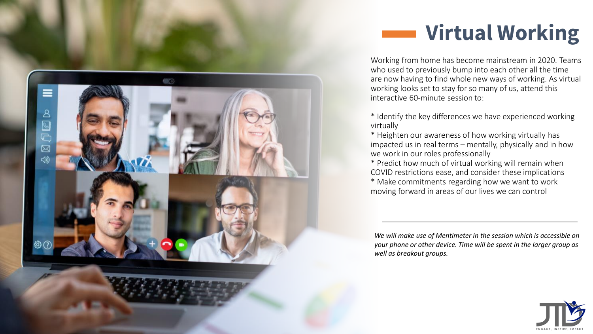

## **Virtual Working**

Working from home has become mainstream in 2020. Teams who used to previously bump into each other all the time are now having to find whole new ways of working. As virtual working looks set to stay for so many of us, attend this interactive 60-minute session to:

\* Identify the key differences we have experienced working virtually

\* Heighten our awareness of how working virtually has impacted us in real terms – mentally, physically and in how we work in our roles professionally

\* Predict how much of virtual working will remain when COVID restrictions ease, and consider these implications \* Make commitments regarding how we want to work moving forward in areas of our lives we can control

*We will make use of Mentimeter in the session which is accessible on your phone or other device. Time will be spent in the larger group as well as breakout groups.*